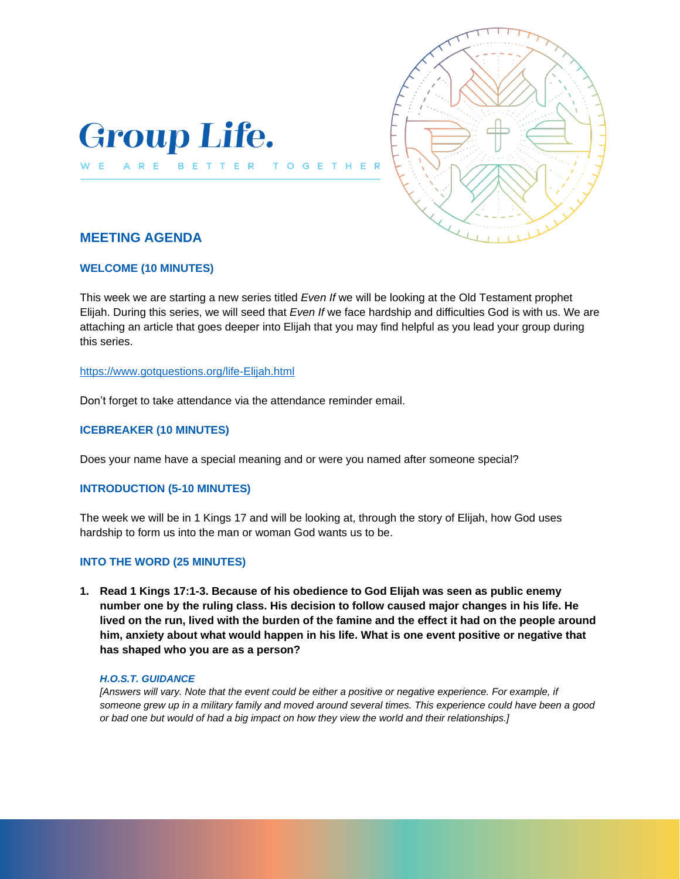



# **MEETING AGENDA**

# **WELCOME (10 MINUTES)**

This week we are starting a new series titled *Even If* we will be looking at the Old Testament prophet Elijah. During this series, we will seed that *Even If* we face hardship and difficulties God is with us. We are attaching an article that goes deeper into Elijah that you may find helpful as you lead your group during this series.

### <https://www.gotquestions.org/life-Elijah.html>

Don't forget to take attendance via the attendance reminder email.

# **ICEBREAKER (10 MINUTES)**

Does your name have a special meaning and or were you named after someone special?

 $T<sub>0</sub>$ 

 $\mathbf{G}$ 

# **INTRODUCTION (5-10 MINUTES)**

The week we will be in 1 Kings 17 and will be looking at, through the story of Elijah, how God uses hardship to form us into the man or woman God wants us to be.

# **INTO THE WORD (25 MINUTES)**

**1. Read 1 Kings 17:1-3. Because of his obedience to God Elijah was seen as public enemy number one by the ruling class. His decision to follow caused major changes in his life. He lived on the run, lived with the burden of the famine and the effect it had on the people around him, anxiety about what would happen in his life. What is one event positive or negative that has shaped who you are as a person?**

### *H.O.S.T. GUIDANCE*

*[Answers will vary. Note that the event could be either a positive or negative experience. For example, if someone grew up in a military family and moved around several times. This experience could have been a good or bad one but would of had a big impact on how they view the world and their relationships.]*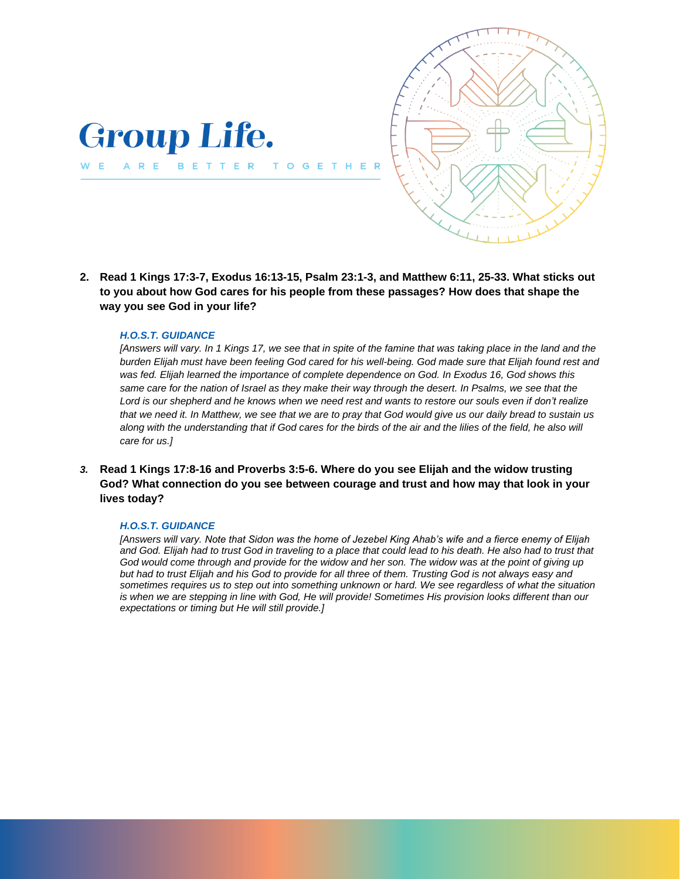

**2. Read 1 Kings 17:3-7, Exodus 16:13-15, Psalm 23:1-3, and Matthew 6:11, 25-33. What sticks out to you about how God cares for his people from these passages? How does that shape the way you see God in your life?**

TO

 $\mathbf{G}$ E

#### *H.O.S.T. GUIDANCE*

**Group Life.** 

WE ARE BETTER

*[Answers will vary. In 1 Kings 17, we see that in spite of the famine that was taking place in the land and the burden Elijah must have been feeling God cared for his well-being. God made sure that Elijah found rest and was fed. Elijah learned the importance of complete dependence on God. In Exodus 16, God shows this same care for the nation of Israel as they make their way through the desert. In Psalms, we see that the Lord is our shepherd and he knows when we need rest and wants to restore our souls even if don't realize that we need it. In Matthew, we see that we are to pray that God would give us our daily bread to sustain us along with the understanding that if God cares for the birds of the air and the lilies of the field, he also will care for us.]*

*3.* **Read 1 Kings 17:8-16 and Proverbs 3:5-6. Where do you see Elijah and the widow trusting God? What connection do you see between courage and trust and how may that look in your lives today?**

#### *H.O.S.T. GUIDANCE*

*[Answers will vary. Note that Sidon was the home of Jezebel King Ahab's wife and a fierce enemy of Elijah and God. Elijah had to trust God in traveling to a place that could lead to his death. He also had to trust that*  God would come through and provide for the widow and her son. The widow was at the point of giving up *but had to trust Elijah and his God to provide for all three of them. Trusting God is not always easy and sometimes requires us to step out into something unknown or hard. We see regardless of what the situation is when we are stepping in line with God, He will provide! Sometimes His provision looks different than our expectations or timing but He will still provide.]*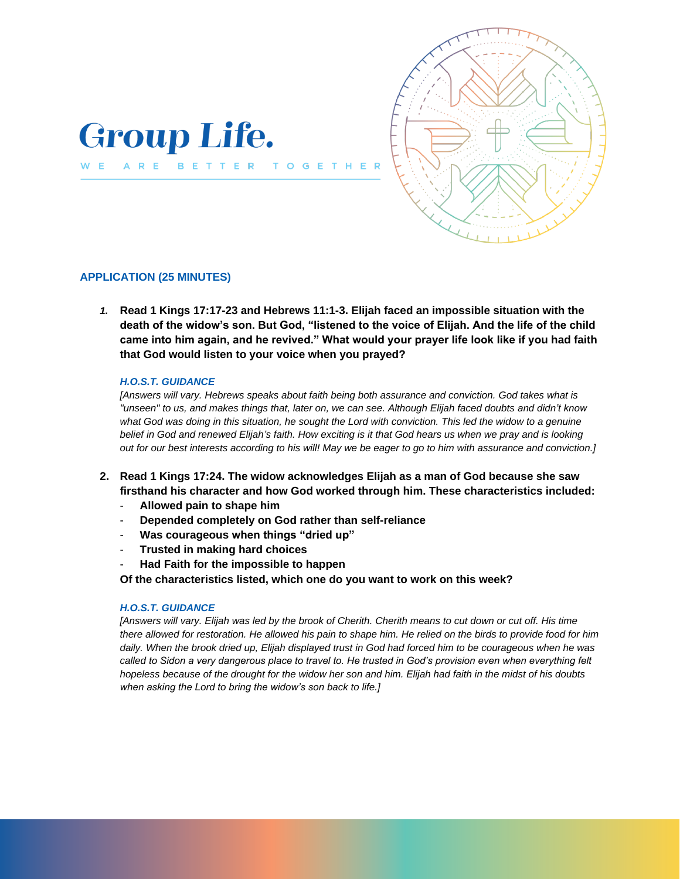

BETTER

 $T<sub>0</sub>$  $\overline{G}$ 



# **APPLICATION (25 MINUTES)**

WE ARE

*1.* **Read 1 Kings 17:17-23 and Hebrews 11:1-3. Elijah faced an impossible situation with the death of the widow's son. But God, "listened to the voice of Elijah. And the life of the child came into him again, and he revived." What would your prayer life look like if you had faith that God would listen to your voice when you prayed?**

#### *H.O.S.T. GUIDANCE*

*[Answers will vary. Hebrews speaks about faith being both assurance and conviction. God takes what is "unseen" to us, and makes things that, later on, we can see. Although Elijah faced doubts and didn't know what God was doing in this situation, he sought the Lord with conviction. This led the widow to a genuine belief in God and renewed Elijah's faith. How exciting is it that God hears us when we pray and is looking out for our best interests according to his will! May we be eager to go to him with assurance and conviction.]*

- **2. Read 1 Kings 17:24. The widow acknowledges Elijah as a man of God because she saw firsthand his character and how God worked through him. These characteristics included:**
	- **Allowed pain to shape him**
	- **Depended completely on God rather than self-reliance**
	- **Was courageous when things "dried up"**
	- **Trusted in making hard choices**
	- **Had Faith for the impossible to happen**

**Of the characteristics listed, which one do you want to work on this week?** 

#### *H.O.S.T. GUIDANCE*

*[Answers will vary. Elijah was led by the brook of Cherith. Cherith means to cut down or cut off. His time there allowed for restoration. He allowed his pain to shape him. He relied on the birds to provide food for him daily. When the brook dried up, Elijah displayed trust in God had forced him to be courageous when he was*  called to Sidon a very dangerous place to travel to. He trusted in God's provision even when everything felt *hopeless because of the drought for the widow her son and him. Elijah had faith in the midst of his doubts when asking the Lord to bring the widow's son back to life.]*